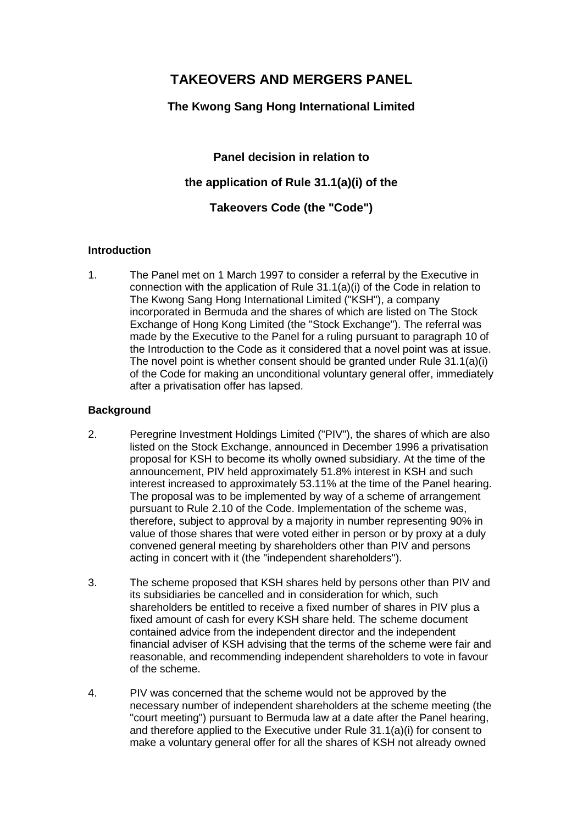# **TAKEOVERS AND MERGERS PANEL**

# **The Kwong Sang Hong International Limited**

**Panel decision in relation to the application of Rule 31.1(a)(i) of the Takeovers Code (the "Code")**

# **Introduction**

1. The Panel met on 1 March 1997 to consider a referral by the Executive in connection with the application of Rule 31.1(a)(i) of the Code in relation to The Kwong Sang Hong International Limited ("KSH"), a company incorporated in Bermuda and the shares of which are listed on The Stock Exchange of Hong Kong Limited (the "Stock Exchange"). The referral was made by the Executive to the Panel for a ruling pursuant to paragraph 10 of the Introduction to the Code as it considered that a novel point was at issue. The novel point is whether consent should be granted under Rule 31.1(a)(i) of the Code for making an unconditional voluntary general offer, immediately after a privatisation offer has lapsed.

# **Background**

- 2. Peregrine Investment Holdings Limited ("PIV"), the shares of which are also listed on the Stock Exchange, announced in December 1996 a privatisation proposal for KSH to become its wholly owned subsidiary. At the time of the announcement, PIV held approximately 51.8% interest in KSH and such interest increased to approximately 53.11% at the time of the Panel hearing. The proposal was to be implemented by way of a scheme of arrangement pursuant to Rule 2.10 of the Code. Implementation of the scheme was, therefore, subject to approval by a majority in number representing 90% in value of those shares that were voted either in person or by proxy at a duly convened general meeting by shareholders other than PIV and persons acting in concert with it (the "independent shareholders").
- 3. The scheme proposed that KSH shares held by persons other than PIV and its subsidiaries be cancelled and in consideration for which, such shareholders be entitled to receive a fixed number of shares in PIV plus a fixed amount of cash for every KSH share held. The scheme document contained advice from the independent director and the independent financial adviser of KSH advising that the terms of the scheme were fair and reasonable, and recommending independent shareholders to vote in favour of the scheme.
- 4. PIV was concerned that the scheme would not be approved by the necessary number of independent shareholders at the scheme meeting (the "court meeting") pursuant to Bermuda law at a date after the Panel hearing, and therefore applied to the Executive under Rule 31.1(a)(i) for consent to make a voluntary general offer for all the shares of KSH not already owned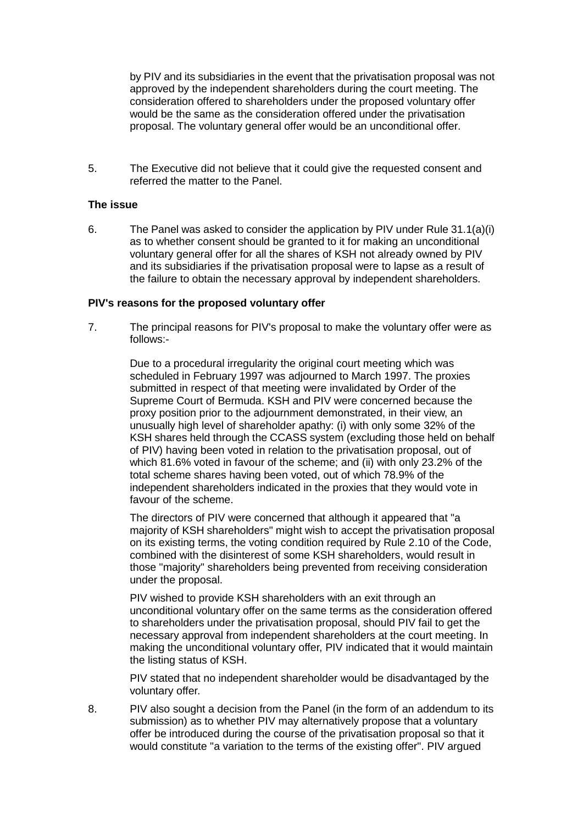by PIV and its subsidiaries in the event that the privatisation proposal was not approved by the independent shareholders during the court meeting. The consideration offered to shareholders under the proposed voluntary offer would be the same as the consideration offered under the privatisation proposal. The voluntary general offer would be an unconditional offer.

5. The Executive did not believe that it could give the requested consent and referred the matter to the Panel.

#### **The issue**

6. The Panel was asked to consider the application by PIV under Rule  $31.1(a)(i)$ as to whether consent should be granted to it for making an unconditional voluntary general offer for all the shares of KSH not already owned by PIV and its subsidiaries if the privatisation proposal were to lapse as a result of the failure to obtain the necessary approval by independent shareholders.

#### **PIV's reasons for the proposed voluntary offer**

7. The principal reasons for PIV's proposal to make the voluntary offer were as follows:-

> Due to a procedural irregularity the original court meeting which was scheduled in February 1997 was adjourned to March 1997. The proxies submitted in respect of that meeting were invalidated by Order of the Supreme Court of Bermuda. KSH and PIV were concerned because the proxy position prior to the adjournment demonstrated, in their view, an unusually high level of shareholder apathy: (i) with only some 32% of the KSH shares held through the CCASS system (excluding those held on behalf of PIV) having been voted in relation to the privatisation proposal, out of which 81.6% voted in favour of the scheme; and (ii) with only 23.2% of the total scheme shares having been voted, out of which 78.9% of the independent shareholders indicated in the proxies that they would vote in favour of the scheme.

> The directors of PIV were concerned that although it appeared that "a majority of KSH shareholders" might wish to accept the privatisation proposal on its existing terms, the voting condition required by Rule 2.10 of the Code, combined with the disinterest of some KSH shareholders, would result in those "majority" shareholders being prevented from receiving consideration under the proposal.

> PIV wished to provide KSH shareholders with an exit through an unconditional voluntary offer on the same terms as the consideration offered to shareholders under the privatisation proposal, should PIV fail to get the necessary approval from independent shareholders at the court meeting. In making the unconditional voluntary offer, PIV indicated that it would maintain the listing status of KSH.

> PIV stated that no independent shareholder would be disadvantaged by the voluntary offer.

8. PIV also sought a decision from the Panel (in the form of an addendum to its submission) as to whether PIV may alternatively propose that a voluntary offer be introduced during the course of the privatisation proposal so that it would constitute "a variation to the terms of the existing offer". PIV argued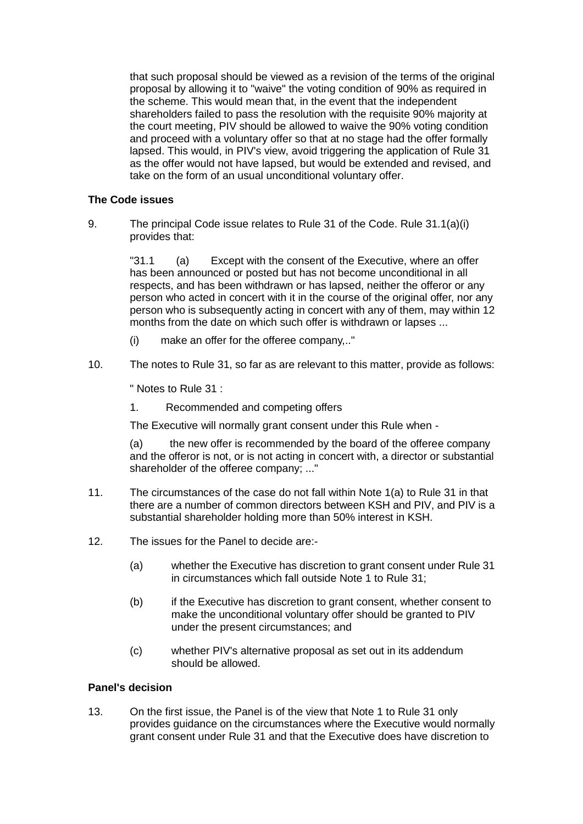that such proposal should be viewed as a revision of the terms of the original proposal by allowing it to "waive" the voting condition of 90% as required in the scheme. This would mean that, in the event that the independent shareholders failed to pass the resolution with the requisite 90% majority at the court meeting, PIV should be allowed to waive the 90% voting condition and proceed with a voluntary offer so that at no stage had the offer formally lapsed. This would, in PIV's view, avoid triggering the application of Rule 31 as the offer would not have lapsed, but would be extended and revised, and take on the form of an usual unconditional voluntary offer.

# **The Code issues**

9. The principal Code issue relates to Rule 31 of the Code. Rule 31.1(a)(i) provides that:

> "31.1 (a) Except with the consent of the Executive, where an offer has been announced or posted but has not become unconditional in all respects, and has been withdrawn or has lapsed, neither the offeror or any person who acted in concert with it in the course of the original offer, nor any person who is subsequently acting in concert with any of them, may within 12 months from the date on which such offer is withdrawn or lapses ...

- (i) make an offer for the offeree company,.."
- 10. The notes to Rule 31, so far as are relevant to this matter, provide as follows:

" Notes to Rule 31 :

1. Recommended and competing offers

The Executive will normally grant consent under this Rule when -

(a) the new offer is recommended by the board of the offeree company and the offeror is not, or is not acting in concert with, a director or substantial shareholder of the offeree company; ..."

- 11. The circumstances of the case do not fall within Note 1(a) to Rule 31 in that there are a number of common directors between KSH and PIV, and PIV is a substantial shareholder holding more than 50% interest in KSH.
- 12. The issues for the Panel to decide are:-
	- (a) whether the Executive has discretion to grant consent under Rule 31 in circumstances which fall outside Note 1 to Rule 31;
	- (b) if the Executive has discretion to grant consent, whether consent to make the unconditional voluntary offer should be granted to PIV under the present circumstances; and
	- (c) whether PIV's alternative proposal as set out in its addendum should be allowed.

# **Panel's decision**

13. On the first issue, the Panel is of the view that Note 1 to Rule 31 only provides guidance on the circumstances where the Executive would normally grant consent under Rule 31 and that the Executive does have discretion to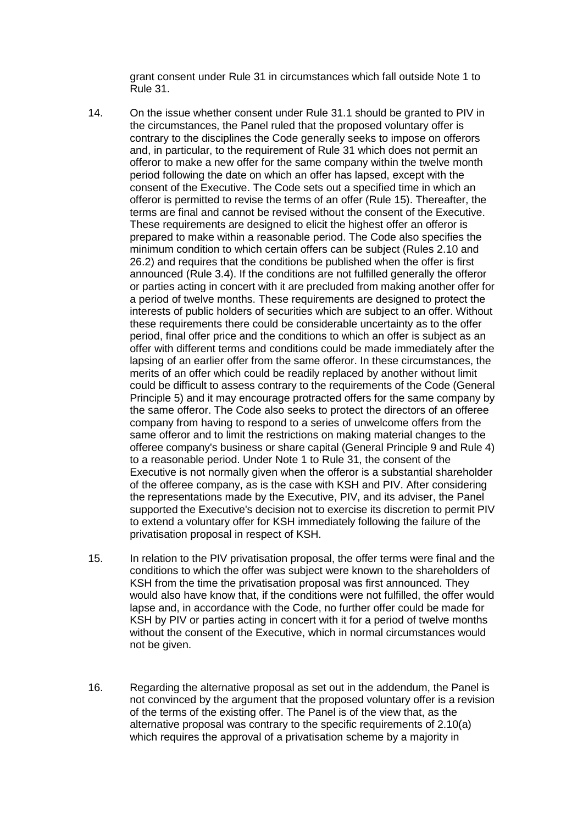grant consent under Rule 31 in circumstances which fall outside Note 1 to Rule 31.

- 14. On the issue whether consent under Rule 31.1 should be granted to PIV in the circumstances, the Panel ruled that the proposed voluntary offer is contrary to the disciplines the Code generally seeks to impose on offerors and, in particular, to the requirement of Rule 31 which does not permit an offeror to make a new offer for the same company within the twelve month period following the date on which an offer has lapsed, except with the consent of the Executive. The Code sets out a specified time in which an offeror is permitted to revise the terms of an offer (Rule 15). Thereafter, the terms are final and cannot be revised without the consent of the Executive. These requirements are designed to elicit the highest offer an offeror is prepared to make within a reasonable period. The Code also specifies the minimum condition to which certain offers can be subject (Rules 2.10 and 26.2) and requires that the conditions be published when the offer is first announced (Rule 3.4). If the conditions are not fulfilled generally the offeror or parties acting in concert with it are precluded from making another offer for a period of twelve months. These requirements are designed to protect the interests of public holders of securities which are subject to an offer. Without these requirements there could be considerable uncertainty as to the offer period, final offer price and the conditions to which an offer is subject as an offer with different terms and conditions could be made immediately after the lapsing of an earlier offer from the same offeror. In these circumstances, the merits of an offer which could be readily replaced by another without limit could be difficult to assess contrary to the requirements of the Code (General Principle 5) and it may encourage protracted offers for the same company by the same offeror. The Code also seeks to protect the directors of an offeree company from having to respond to a series of unwelcome offers from the same offeror and to limit the restrictions on making material changes to the offeree company's business or share capital (General Principle 9 and Rule 4) to a reasonable period. Under Note 1 to Rule 31, the consent of the Executive is not normally given when the offeror is a substantial shareholder of the offeree company, as is the case with KSH and PIV. After considering the representations made by the Executive, PIV, and its adviser, the Panel supported the Executive's decision not to exercise its discretion to permit PIV to extend a voluntary offer for KSH immediately following the failure of the privatisation proposal in respect of KSH.
- 15. In relation to the PIV privatisation proposal, the offer terms were final and the conditions to which the offer was subject were known to the shareholders of KSH from the time the privatisation proposal was first announced. They would also have know that, if the conditions were not fulfilled, the offer would lapse and, in accordance with the Code, no further offer could be made for KSH by PIV or parties acting in concert with it for a period of twelve months without the consent of the Executive, which in normal circumstances would not be given.
- 16. Regarding the alternative proposal as set out in the addendum, the Panel is not convinced by the argument that the proposed voluntary offer is a revision of the terms of the existing offer. The Panel is of the view that, as the alternative proposal was contrary to the specific requirements of 2.10(a) which requires the approval of a privatisation scheme by a majority in